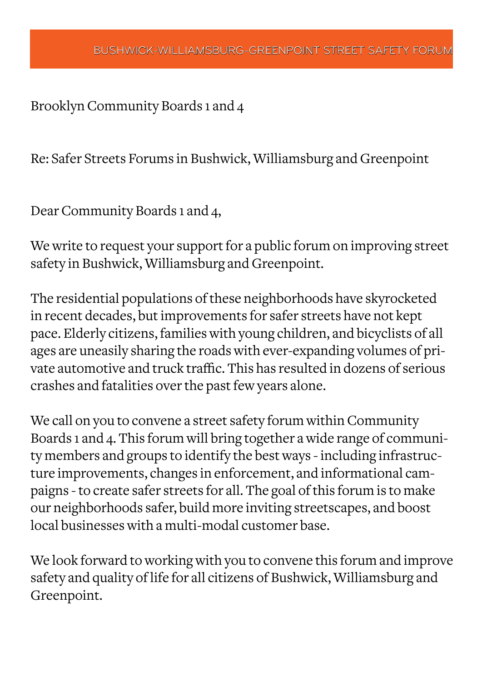Brooklyn Community Boards 1 and 4

Re: Safer Streets Forums in Bushwick, Williamsburg and Greenpoint

Dear Community Boards 1 and 4,

We write to request your support for a public forum on improving street safety in Bushwick, Williamsburg and Greenpoint.

The residential populations of these neighborhoods have skyrocketed in recent decades, but improvements for safer streets have not kept pace. Elderly citizens, families with young children, and bicyclists of all ages are uneasily sharing the roads with ever-expanding volumes of private automotive and truck traffic. This has resulted in dozens of serious crashes and fatalities over the past few years alone.

We call on you to convene a street safety forum within Community Boards 1 and 4. This forum will bring together a wide range of community members and groups to identify the best ways - including infrastructure improvements, changes in enforcement, and informational campaigns - to create safer streets for all. The goal of this forum is to make our neighborhoods safer, build more inviting streetscapes, and boost local businesses with a multi-modal customer base.

We look forward to working with you to convene this forum and improve safety and quality of life for all citizens of Bushwick, Williamsburg and Greenpoint.